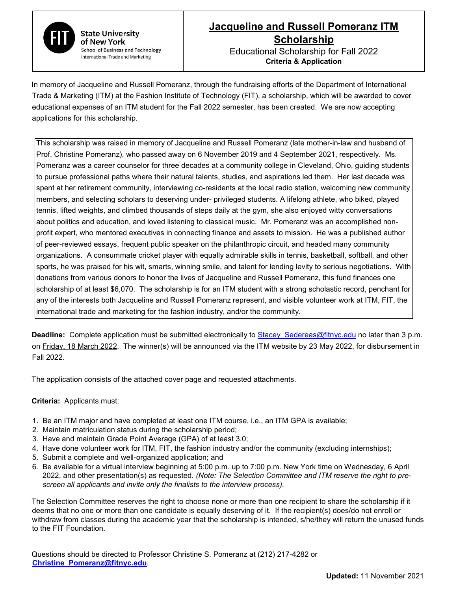

**State University** of New York **School of Business and Technology** International Trade and Marketing

## **Jacqueline and Russell Pomeranz ITM Scholarship** Educational Scholarship for Fall 2022

**Criteria & Application** 

In memory of Jacqueline and Russell Pomeranz, through the fundraising efforts of the Department of International Trade & Marketing (ITM) at the Fashion Institute of Technology (FIT), a scholarship, which will be awarded to cover educational expenses of an ITM student for the Fall 2022 semester, has been created. We are now accepting applications for this scholarship.

This scholarship was raised in memory of Jacqueline and Russell Pomeranz (late mother-in-law and husband of Prof. Christine Pomeranz), who passed away on 6 November 2019 and 4 September 2021, respectively. Ms. Pomeranz was a career counselor for three decades at a community college in Cleveland, Ohio, guiding students to pursue professional paths where their natural talents, studies, and aspirations led them. Her last decade was spent at her retirement community, interviewing co-residents at the local radio station, welcoming new community members, and selecting scholars to deserving under- privileged students. A lifelong athlete, who biked, played tennis, lifted weights, and climbed thousands of steps daily at the gym, she also enjoyed witty conversations about politics and education, and loved listening to classical music. Mr. Pomeranz was an accomplished nonprofit expert, who mentored executives in connecting finance and assets to mission. He was a published author of peer-reviewed essays, frequent public speaker on the philanthropic circuit, and headed many community organizations. A consummate cricket player with equally admirable skills in tennis, basketball, softball, and other sports, he was praised for his wit, smarts, winning smile, and talent for lending levity to serious negotiations. With donations from various donors to honor the lives of Jacqueline and Russell Pomeranz, this fund finances one scholarship of at least \$6,070. The scholarship is for an ITM student with a strong scholastic record, penchant for any of the interests both Jacqueline and Russell Pomeranz represent, and visible volunteer work at ITM, FIT, the international trade and marketing for the fashion industry, and/or the community.

**Deadline:** Complete application must be submitted electronically to Stacey Sedereas@fitnyc.edu no later than 3 p.m. on Friday, 18 March 2022. The winner(s) will be announced via the ITM website by 23 May 2022, for disbursement in Fall 2022.

The application consists of the attached cover page and requested attachments.

## **Criteria:** Applicants must:

- 1. Be an ITM major and have completed at least one ITM course, i.e., an ITM GPA is available;
- 2. Maintain matriculation status during the scholarship period;
- 3. Have and maintain Grade Point Average (GPA) of at least 3.0;
- 4. Have done volunteer work for ITM, FIT, the fashion industry and/or the community (excluding internships);
- 5. Submit a complete and well-organized application; and
- 6. Be available for a virtual interview beginning at 5:00 p.m. up to 7:00 p.m. New York time on Wednesday, 6 April 2022, and other presentation(s) as requested. *(Note: The Selection Committee and ITM reserve the right to prescreen all applicants and invite only the finalists to the interview process).*

The Selection Committee reserves the right to choose none or more than one recipient to share the scholarship if it deems that no one or more than one candidate is equally deserving of it. If the recipient(s) does/do not enroll or withdraw from classes during the academic year that the scholarship is intended, s/he/they will return the unused funds to the FIT Foundation.